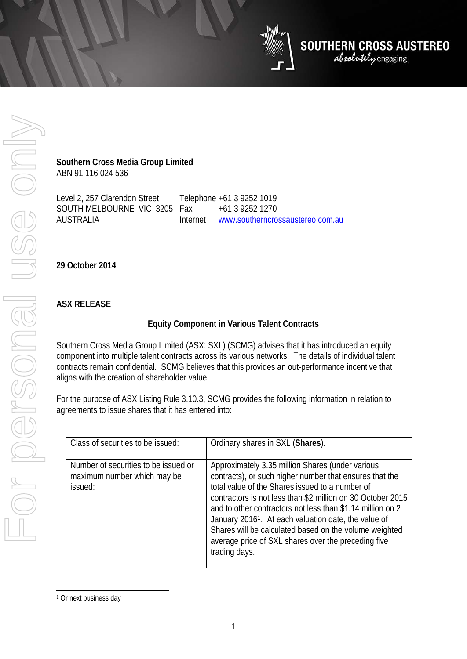**Southern Cross Media Group Limited**

ABN 91 116 024 536

Level 2, 257 Clarendon Street SOUTH MELBOURNE VIC 3205 AUSTRALIA Telephone +61 3 9252 1019 Fax +61 3 9252 1270<br>Internet www.southerncro [www.southerncrossaustereo.com.au](http://www.southerncrossaustereo.com.au/)

**29 October 2014**

## **ASX RELEASE**

## **Equity Component in Various Talent Contracts**

**SOUTHERN CROSS AUSTEREO**<br>*absolutely engaging* 

Southern Cross Media Group Limited (ASX: SXL) (SCMG) advises that it has introduced an equity component into multiple talent contracts across its various networks. The details of individual talent contracts remain confidential. SCMG believes that this provides an out-performance incentive that aligns with the creation of shareholder value.

For the purpose of ASX Listing Rule 3.10.3, SCMG provides the following information in relation to agreements to issue shares that it has entered into:

| Class of securities to be issued:                                              | Ordinary shares in SXL (Shares).                                                                                                                                                                                                                                                                                                                                                                                                                                                                  |
|--------------------------------------------------------------------------------|---------------------------------------------------------------------------------------------------------------------------------------------------------------------------------------------------------------------------------------------------------------------------------------------------------------------------------------------------------------------------------------------------------------------------------------------------------------------------------------------------|
| Number of securities to be issued or<br>maximum number which may be<br>issued: | Approximately 3.35 million Shares (under various<br>contracts), or such higher number that ensures that the<br>total value of the Shares issued to a number of<br>contractors is not less than \$2 million on 30 October 2015<br>and to other contractors not less than \$1.14 million on 2<br>January 2016 <sup>1</sup> . At each valuation date, the value of<br>Shares will be calculated based on the volume weighted<br>average price of SXL shares over the preceding five<br>trading days. |

<span id="page-0-0"></span><sup>&</sup>lt;sup>1</sup> Or next business day  $\overline{a}$